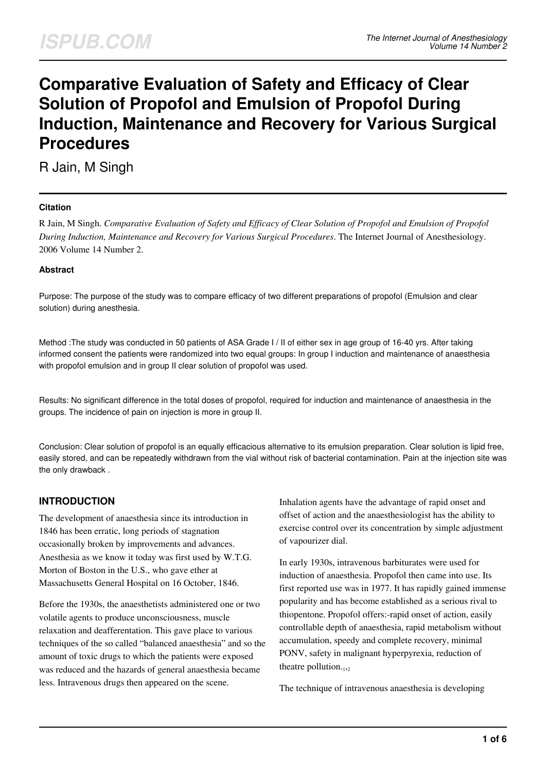# **Comparative Evaluation of Safety and Efficacy of Clear Solution of Propofol and Emulsion of Propofol During Induction, Maintenance and Recovery for Various Surgical Procedures**

R Jain, M Singh

#### **Citation**

R Jain, M Singh. *Comparative Evaluation of Safety and Efficacy of Clear Solution of Propofol and Emulsion of Propofol During Induction, Maintenance and Recovery for Various Surgical Procedures*. The Internet Journal of Anesthesiology. 2006 Volume 14 Number 2.

#### **Abstract**

Purpose: The purpose of the study was to compare efficacy of two different preparations of propofol (Emulsion and clear solution) during anesthesia.

Method :The study was conducted in 50 patients of ASA Grade I / II of either sex in age group of 16-40 yrs. After taking informed consent the patients were randomized into two equal groups: In group I induction and maintenance of anaesthesia with propofol emulsion and in group II clear solution of propofol was used.

Results: No significant difference in the total doses of propofol, required for induction and maintenance of anaesthesia in the groups. The incidence of pain on injection is more in group II.

Conclusion: Clear solution of propofol is an equally efficacious alternative to its emulsion preparation. Clear solution is lipid free, easily stored, and can be repeatedly withdrawn from the vial without risk of bacterial contamination. Pain at the injection site was the only drawback .

## **INTRODUCTION**

The development of anaesthesia since its introduction in 1846 has been erratic, long periods of stagnation occasionally broken by improvements and advances. Anesthesia as we know it today was first used by W.T.G. Morton of Boston in the U.S., who gave ether at Massachusetts General Hospital on 16 October, 1846.

Before the 1930s, the anaesthetists administered one or two volatile agents to produce unconsciousness, muscle relaxation and deafferentation. This gave place to various techniques of the so called "balanced anaesthesia" and so the amount of toxic drugs to which the patients were exposed was reduced and the hazards of general anaesthesia became less. Intravenous drugs then appeared on the scene.

Inhalation agents have the advantage of rapid onset and offset of action and the anaesthesiologist has the ability to exercise control over its concentration by simple adjustment of vapourizer dial.

In early 1930s, intravenous barbiturates were used for induction of anaesthesia. Propofol then came into use. Its first reported use was in 1977. It has rapidly gained immense popularity and has become established as a serious rival to thiopentone. Propofol offers:-rapid onset of action, easily controllable depth of anaesthesia, rapid metabolism without accumulation, speedy and complete recovery, minimal PONV, safety in malignant hyperpyrexia, reduction of theatre pollution. $_{1,2}$ 

The technique of intravenous anaesthesia is developing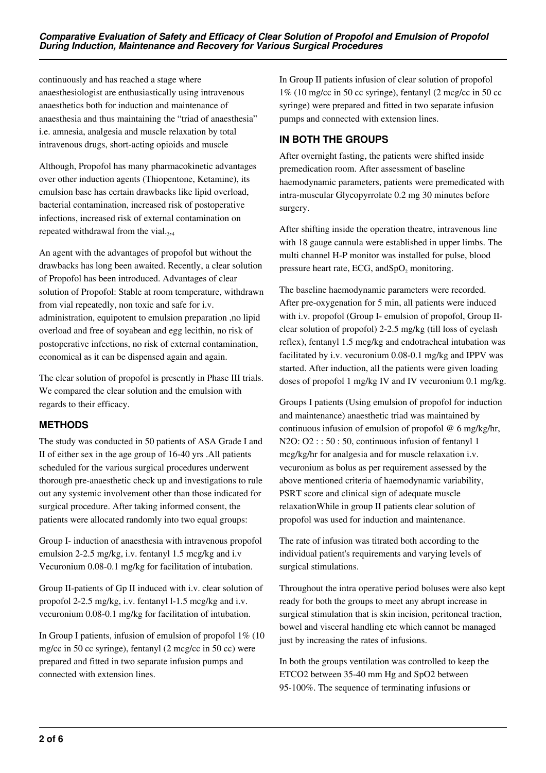continuously and has reached a stage where anaesthesiologist are enthusiastically using intravenous anaesthetics both for induction and maintenance of anaesthesia and thus maintaining the "triad of anaesthesia" i.e. amnesia, analgesia and muscle relaxation by total intravenous drugs, short-acting opioids and muscle

Although, Propofol has many pharmacokinetic advantages over other induction agents (Thiopentone, Ketamine), its emulsion base has certain drawbacks like lipid overload, bacterial contamination, increased risk of postoperative infections, increased risk of external contamination on repeated withdrawal from the vial.<sub>3,4</sub>

An agent with the advantages of propofol but without the drawbacks has long been awaited. Recently, a clear solution of Propofol has been introduced. Advantages of clear solution of Propofol: Stable at room temperature, withdrawn from vial repeatedly, non toxic and safe for i.v. administration, equipotent to emulsion preparation ,no lipid overload and free of soyabean and egg lecithin, no risk of postoperative infections, no risk of external contamination, economical as it can be dispensed again and again.

The clear solution of propofol is presently in Phase III trials. We compared the clear solution and the emulsion with regards to their efficacy.

# **METHODS**

The study was conducted in 50 patients of ASA Grade I and II of either sex in the age group of 16-40 yrs .All patients scheduled for the various surgical procedures underwent thorough pre-anaesthetic check up and investigations to rule out any systemic involvement other than those indicated for surgical procedure. After taking informed consent, the patients were allocated randomly into two equal groups:

Group I- induction of anaesthesia with intravenous propofol emulsion 2-2.5 mg/kg, i.v. fentanyl 1.5 mcg/kg and i.v Vecuronium 0.08-0.1 mg/kg for facilitation of intubation.

Group II-patients of Gp II induced with i.v. clear solution of propofol 2-2.5 mg/kg, i.v. fentanyl l-1.5 mcg/kg and i.v. vecuronium 0.08-0.1 mg/kg for facilitation of intubation.

In Group I patients, infusion of emulsion of propofol 1% (10 mg/cc in 50 cc syringe), fentanyl (2 mcg/cc in 50 cc) were prepared and fitted in two separate infusion pumps and connected with extension lines.

In Group II patients infusion of clear solution of propofol 1% (10 mg/cc in 50 cc syringe), fentanyl (2 mcg/cc in 50 cc syringe) were prepared and fitted in two separate infusion pumps and connected with extension lines.

# **IN BOTH THE GROUPS**

After overnight fasting, the patients were shifted inside premedication room. After assessment of baseline haemodynamic parameters, patients were premedicated with intra-muscular Glycopyrrolate 0.2 mg 30 minutes before surgery.

After shifting inside the operation theatre, intravenous line with 18 gauge cannula were established in upper limbs. The multi channel H-P monitor was installed for pulse, blood pressure heart rate, ECG, and  $SpO<sub>2</sub>$  monitoring.

The baseline haemodynamic parameters were recorded. After pre-oxygenation for 5 min, all patients were induced with i.v. propofol (Group I- emulsion of propofol, Group IIclear solution of propofol) 2-2.5 mg/kg (till loss of eyelash reflex), fentanyl 1.5 mcg/kg and endotracheal intubation was facilitated by i.v. vecuronium 0.08-0.1 mg/kg and IPPV was started. After induction, all the patients were given loading doses of propofol 1 mg/kg IV and IV vecuronium 0.1 mg/kg.

Groups I patients (Using emulsion of propofol for induction and maintenance) anaesthetic triad was maintained by continuous infusion of emulsion of propofol @ 6 mg/kg/hr, N2O:  $O2$ : : 50 : 50, continuous infusion of fentanyl 1 mcg/kg/hr for analgesia and for muscle relaxation i.v. vecuronium as bolus as per requirement assessed by the above mentioned criteria of haemodynamic variability, PSRT score and clinical sign of adequate muscle relaxationWhile in group II patients clear solution of propofol was used for induction and maintenance.

The rate of infusion was titrated both according to the individual patient's requirements and varying levels of surgical stimulations.

Throughout the intra operative period boluses were also kept ready for both the groups to meet any abrupt increase in surgical stimulation that is skin incision, peritoneal traction, bowel and visceral handling etc which cannot be managed just by increasing the rates of infusions.

In both the groups ventilation was controlled to keep the ETCO2 between 35-40 mm Hg and SpO2 between 95-100%. The sequence of terminating infusions or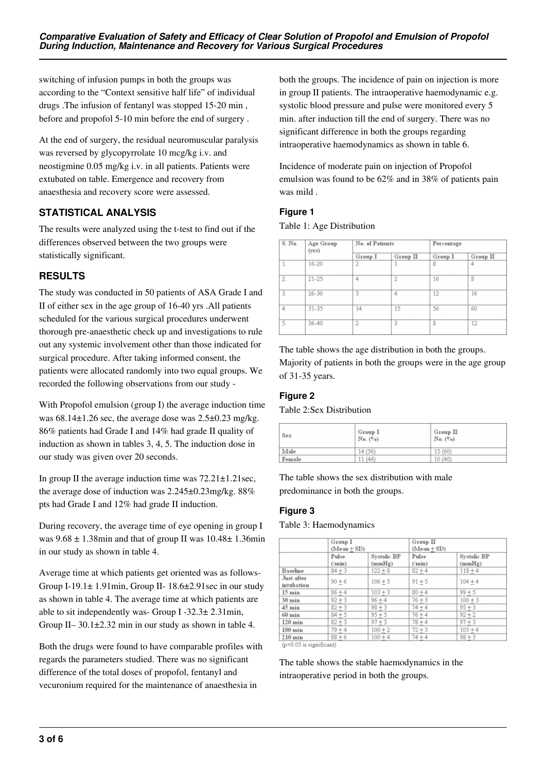switching of infusion pumps in both the groups was according to the "Context sensitive half life" of individual drugs .The infusion of fentanyl was stopped 15-20 min , before and propofol 5-10 min before the end of surgery .

At the end of surgery, the residual neuromuscular paralysis was reversed by glycopyrrolate 10 mcg/kg i.v. and neostigmine 0.05 mg/kg i.v. in all patients. Patients were extubated on table. Emergence and recovery from anaesthesia and recovery score were assessed.

# **STATISTICAL ANALYSIS**

The results were analyzed using the t-test to find out if the differences observed between the two groups were statistically significant.

# **RESULTS**

The study was conducted in 50 patients of ASA Grade I and II of either sex in the age group of 16-40 yrs .All patients scheduled for the various surgical procedures underwent thorough pre-anaesthetic check up and investigations to rule out any systemic involvement other than those indicated for surgical procedure. After taking informed consent, the patients were allocated randomly into two equal groups. We recorded the following observations from our study -

With Propofol emulsion (group I) the average induction time was 68.14±1.26 sec, the average dose was 2.5±0.23 mg/kg. 86% patients had Grade I and 14% had grade II quality of induction as shown in tables 3, 4, 5. The induction dose in our study was given over 20 seconds.

In group II the average induction time was  $72.21 \pm 1.21$  sec. the average dose of induction was 2.245±0.23mg/kg. 88% pts had Grade I and 12% had grade II induction.

During recovery, the average time of eye opening in group I was  $9.68 \pm 1.38$  min and that of group II was  $10.48 \pm 1.36$  min in our study as shown in table 4.

Average time at which patients get oriented was as follows-Group I-19.1± 1.91min, Group II- 18.6±2.91sec in our study as shown in table 4. The average time at which patients are able to sit independently was- Group I -32.3± 2.31min, Group II–  $30.1\pm2.32$  min in our study as shown in table 4.

Both the drugs were found to have comparable profiles with regards the parameters studied. There was no significant difference of the total doses of propofol, fentanyl and vecuronium required for the maintenance of anaesthesia in

both the groups. The incidence of pain on injection is more in group II patients. The intraoperative haemodynamic e.g. systolic blood pressure and pulse were monitored every 5 min. after induction till the end of surgery. There was no significant difference in both the groups regarding intraoperative haemodynamics as shown in table 6.

Incidence of moderate pain on injection of Propofol emulsion was found to be 62% and in 38% of patients pain was mild .

## **Figure 1**

Table 1: Age Distribution

| S. No.           | Age Group<br>(yrs) | No. of Patients |                | Percentage |               |
|------------------|--------------------|-----------------|----------------|------------|---------------|
|                  |                    | Group I         | $Group$ $\Pi$  | Group I    | $Group$ $\Pi$ |
| 1                | 16-20              | $\overline{2}$  |                | 8          | 4             |
| $\overline{2}$   | $21 - 25$          | 4               | $\overline{2}$ | 16         | 8             |
| $\overline{3}$ . | $26 - 30$          | 3               | 4              | 12         | 16            |
| 4.               | $31 - 35$          | 14              | 15             | 56         | 60            |
| 5.               | 36-40              | $\overline{2}$  | 3              | 8          | 12            |

The table shows the age distribution in both the groups. Majority of patients in both the groups were in the age group of 31-35 years.

## **Figure 2**

Table 2:Sex Distribution

| Sex    | Group I<br>No. (%) | Group II<br>No. (%) |  |
|--------|--------------------|---------------------|--|
| Male   | 14 (56)            | 15(60)              |  |
| Female | 11(44)             | 10(40)              |  |

The table shows the sex distribution with male predominance in both the groups.

#### **Figure 3**

Table 3: Haemodynamics

|                          | Group I<br>$(Mean + SD)$ |                       | $Group$ $\Pi$<br>$(Mean + SD)$ |                                |
|--------------------------|--------------------------|-----------------------|--------------------------------|--------------------------------|
|                          | Pulse<br>$(\min)$        | Systolic BP<br>(mmHg) | Pulse<br>$(\min)$              | Systolic BP<br>$(\text{mmHg})$ |
| Baseline                 | $84 + 3$                 | $122 + 8$             | $82 + 4$                       | $118 + 4$                      |
| Just after<br>intubation | $90 + 6$                 | $106 + 5$             | $91 + 5$                       | $104 + 4$                      |
| 15 min                   | $86 + 4$                 | $103 + 3$             | $80 + 4$                       | $99 + 5$                       |
| $30 \text{ min}$         | $92 + 3$                 | $96 + 4$              | $76 + 3$                       | $100 + 3$                      |
| $45 \,\mathrm{min}$      | $82 + 3$                 | $98 + 3$              | $74 + 4$                       | $95 + 3$                       |
| $60 \text{ min}$         | $84 + 5$                 | $95 + 5$              | $76 + 4$                       | $92 + 2$                       |
| $120 \text{ min}$        | $82 + 3$                 | $97 + 3$              | $78 + 4$                       | $97 + 3$                       |
| $180 \text{ min}$        | $79 + 4$                 | $100 + 2$             | $72 + 3$                       | $103 + 4$                      |
| $210 \,\mathrm{min}$     | $88 + 6$                 | $100 + 4$             | $74 + 4$                       | $98 + 3$                       |

 $(p<0.05$  is significant

The table shows the stable haemodynamics in the intraoperative period in both the groups.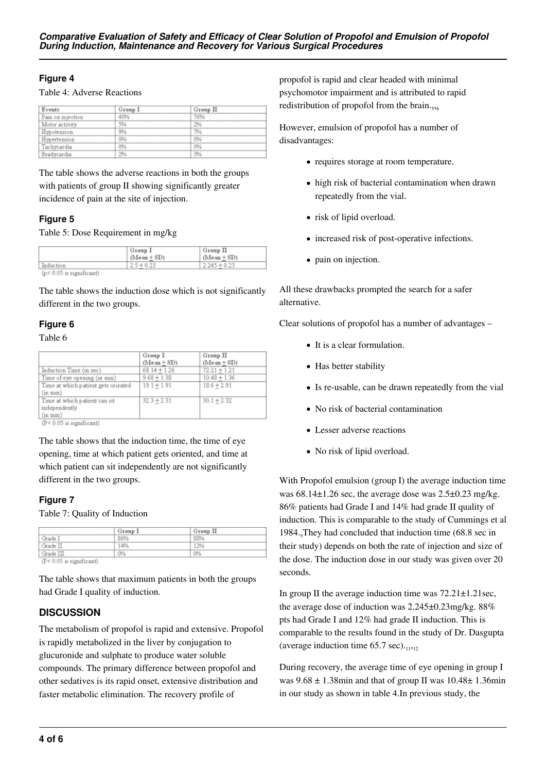#### **Figure 4**

Table 4: Adverse Reactions

| Events            | Group I | $Group$ $\Pi$ |
|-------------------|---------|---------------|
| Pain on injection | 40%     | 76%           |
| Motor activity    | 5%      | 2%            |
| Hypotension       | 9%      | 7%            |
| Hypertension      | 0%      | 0%            |
| Tachycardia       | 0%      | 0%            |
| Bradycardia       | 2%      | 3%            |

The table shows the adverse reactions in both the groups with patients of group II showing significantly greater incidence of pain at the site of injection.

## **Figure 5**

Table 5: Dose Requirement in mg/kg

|                             | Group I<br>$(Mean + SD)$ | $Group \; \Pi$<br>$(Mean + SD)$ |
|-----------------------------|--------------------------|---------------------------------|
| Induction                   | $2.5 + 0.23$             | $2.245 + 0.23$                  |
| $(p < 0.05$ is significant) |                          |                                 |

The table shows the induction dose which is not significantly different in the two groups.

## **Figure 6**

Table 6

| Induction Time (in sec)<br>Time of eye opening (in min)<br>Time at which patient gets oriented<br>(in min) | Group I<br>$(Mean + SD)$<br>$68.14 + 1.26$<br>$9.68 + 1.38$<br>$19.1 + 1.91$ | $Group$ $\Pi$<br>$(Mean + SD)$<br>$72.21 + 1.21$<br>$10.48 + 1.36$<br>$18.6 + 2.91$ |
|------------------------------------------------------------------------------------------------------------|------------------------------------------------------------------------------|-------------------------------------------------------------------------------------|
| Time at which patient can sit<br>independently<br>(in min)                                                 | $32.3 + 2.31$                                                                | $30.1 + 2.32$                                                                       |

 $(P < 0.05$  is significant)

The table shows that the induction time, the time of eye opening, time at which patient gets oriented, and time at which patient can sit independently are not significantly different in the two groups.

#### **Figure 7**

Table 7: Quality of Induction

|           | Group I | $Group$ $\Pi$ |  |
|-----------|---------|---------------|--|
| Grade I   | 86%     | 88%           |  |
| Grade II  | 14%     | 12%           |  |
| Grade III | 0%      | 0%            |  |

The table shows that maximum patients in both the groups had Grade I quality of induction.

## **DISCUSSION**

The metabolism of propofol is rapid and extensive. Propofol is rapidly metabolized in the liver by conjugation to glucuronide and sulphate to produce water soluble compounds. The primary difference between propofol and other sedatives is its rapid onset, extensive distribution and faster metabolic elimination. The recovery profile of

propofol is rapid and clear headed with minimal psychomotor impairment and is attributed to rapid redistribution of propofol from the brain. $_{5}$ ,

However, emulsion of propofol has a number of disadvantages:

- requires storage at room temperature.
- high risk of bacterial contamination when drawn repeatedly from the vial.
- risk of lipid overload.
- increased risk of post-operative infections.
- pain on injection.

All these drawbacks prompted the search for a safer alternative.

Clear solutions of propofol has a number of advantages –

- It is a clear formulation.
- Has better stability
- Is re-usable, can be drawn repeatedly from the vial
- No risk of bacterial contamination
- Lesser adverse reactions
- No risk of lipid overload.

With Propofol emulsion (group I) the average induction time was 68.14±1.26 sec, the average dose was 2.5±0.23 mg/kg. 86% patients had Grade I and 14% had grade II quality of induction. This is comparable to the study of Cummings et al 1984.<sub>5</sub>They had concluded that induction time (68.8 sec in their study) depends on both the rate of injection and size of the dose. The induction dose in our study was given over 20 seconds.

In group II the average induction time was  $72.21 \pm 1.21$  sec, the average dose of induction was 2.245±0.23mg/kg. 88% pts had Grade I and 12% had grade II induction. This is comparable to the results found in the study of Dr. Dasgupta (average induction time  $65.7$  sec). $_{11,12}$ 

During recovery, the average time of eye opening in group I was  $9.68 \pm 1.38$  min and that of group II was  $10.48 \pm 1.36$  min in our study as shown in table 4.In previous study, the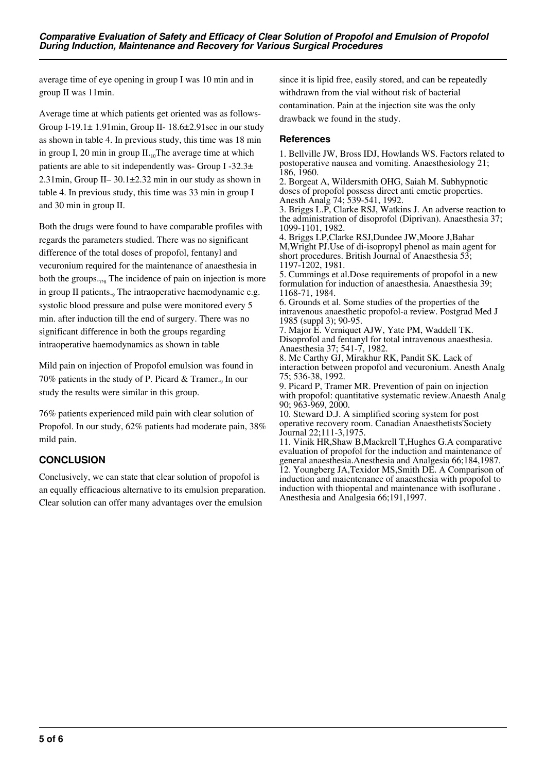average time of eye opening in group I was 10 min and in group II was 11min.

Average time at which patients get oriented was as follows-Group I-19.1 $\pm$  1.91min, Group II- 18.6 $\pm$ 2.91sec in our study as shown in table 4. In previous study, this time was 18 min in group I, 20 min in group  $II_{\cdot10}$ The average time at which patients are able to sit independently was- Group I -32.3± 2.31min, Group II– 30.1±2.32 min in our study as shown in table 4. In previous study, this time was 33 min in group I and 30 min in group II.

Both the drugs were found to have comparable profiles with regards the parameters studied. There was no significant difference of the total doses of propofol, fentanyl and vecuronium required for the maintenance of anaesthesia in both the groups.<sub>7,8</sub> The incidence of pain on injection is more in group II patients.<sub>9</sub> The intraoperative haemodynamic e.g. systolic blood pressure and pulse were monitored every 5 min. after induction till the end of surgery. There was no significant difference in both the groups regarding intraoperative haemodynamics as shown in table

Mild pain on injection of Propofol emulsion was found in 70% patients in the study of P. Picard & Tramer., In our study the results were similar in this group.

76% patients experienced mild pain with clear solution of Propofol. In our study, 62% patients had moderate pain, 38% mild pain.

# **CONCLUSION**

Conclusively, we can state that clear solution of propofol is an equally efficacious alternative to its emulsion preparation. Clear solution can offer many advantages over the emulsion

since it is lipid free, easily stored, and can be repeatedly withdrawn from the vial without risk of bacterial contamination. Pain at the injection site was the only drawback we found in the study.

#### **References**

1. Bellville JW, Bross IDJ, Howlands WS. Factors related to postoperative nausea and vomiting. Anaesthesiology 21; 186, 1960.

2. Borgeat A, Wildersmith OHG, Saiah M. Subhypnotic doses of propofol possess direct anti emetic properties. Anesth Analg 74; 539-541, 1992.

3. Briggs L.P, Clarke RSJ, Watkins J. An adverse reaction to the administration of disoprofol (Diprivan). Anaesthesia 37; 1099-1101, 1982.

4. Briggs LP,Clarke RSJ,Dundee JW,Moore J,Bahar M,Wright PJ.Use of di-isopropyl phenol as main agent for short procedures. British Journal of Anaesthesia 53; 1197-1202, 1981.

5. Cummings et al.Dose requirements of propofol in a new formulation for induction of anaesthesia. Anaesthesia 39; 1168-71, 1984.

6. Grounds et al. Some studies of the properties of the intravenous anaesthetic propofol-a review. Postgrad Med J 1985 (suppl 3); 90-95.

7. Major E. Verniquet AJW, Yate PM, Waddell TK. Disoprofol and fentanyl for total intravenous anaesthesia. Anaesthesia 37; 541-7, 1982.

8. Mc Carthy GJ, Mirakhur RK, Pandit SK. Lack of interaction between propofol and vecuronium. Anesth Analg 75; 536-38, 1992.

9. Picard P, Tramer MR. Prevention of pain on injection with propofol: quantitative systematic review.Anaesth Analg 90; 963-969, 2000.

10. Steward D.J. A simplified scoring system for post operative recovery room. Canadian Anaesthetists'Society Journal 22;111-3,1975.

11. Vinik HR,Shaw B,Mackrell T,Hughes G.A comparative evaluation of propofol for the induction and maintenance of general anaesthesia.Anesthesia and Analgesia 66;184,1987. 12. Youngberg JA,Texidor MS,Smith DE. A Comparison of induction and maientenance of anaesthesia with propofol to induction with thiopental and maintenance with isoflurane . Anesthesia and Analgesia 66;191,1997.